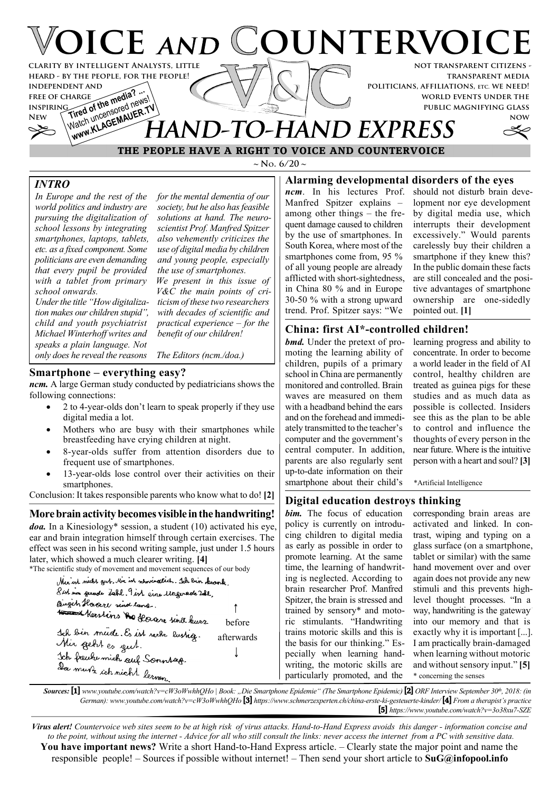

**public magnifying glass**

**now**

# Watch uncensured News<sup>1</sup><br>Watch uncensured Ne**R.TV IAND-TO-HAND EXPRESS**

 **THE PEOPLE HAVE A RIGHT TO VOICE AND COUNTERVOICE**

 $\sim$  **N**<sub>o</sub>. 6/20  $\sim$ 

# **Alarming developmental disorders of the eyes**

*ncm*. In his lectures Prof. Manfred Spitzer explains – among other things – the frequent damage caused to children by the use of smartphones. In South Korea, where most of the smartphones come from, 95 % of all young people are already afflicted with short-sightedness, in China 80 % and in Europe 30-50 % with a strong upward trend. Prof. Spitzer says: "We

should not disturb brain development nor eye development by digital media use, which interrupts their development excessively." Would parents carelessly buy their children a smartphone if they knew this? In the public domain these facts are still concealed and the positive advantages of smartphone ownership are one-sidedly pointed out. **[1]**

#### **China: first AI\*-controlled children!**

*bmd.* Under the pretext of promoting the learning ability of children, pupils of a primary school in China are permanently monitored and controlled. Brain waves are measured on them with a headband behind the ears and on the forehead and immediately transmitted to the teacher's computer and the government's central computer. In addition, parents are also regularly sent up-to-date information on their smartphone about their child's

learning progress and ability to concentrate. In order to become a world leader in the field of AI control, healthy children are treated as guinea pigs for these studies and as much data as possible is collected. Insiders see this as the plan to be able to control and influence the thoughts of every person in the near future. Where is the intuitive person with a heart and soul? **[3]**

\*Artificial Intelligence

#### **Digital education destroys thinking**

*bim.* The focus of education policy is currently on introducing children to digital media as early as possible in order to promote learning. At the same time, the learning of handwriting is neglected. According to brain researcher Prof. Manfred Spitzer, the brain is stressed and trained by sensory\* and motoric stimulants. "Handwriting trains motoric skills and this is the basis for our thinking." Especially when learning handwriting, the motoric skills are particularly promoted, and the

corresponding brain areas are activated and linked. In contrast, wiping and typing on a glass surface (on a smartphone, tablet or similar) with the same hand movement over and over again does not provide any new stimuli and this prevents highlevel thought processes. "In a way, handwriting is the gateway into our memory and that is exactly why it is important [...]. I am practically brain-damaged when learning without motoric and without sensory input." **[5]** \* concerning the senses

*Sources:* **[1]** *www.youtube.com/watch?v=cW3oWwhhQHo | Book: "Die Smartphone Epidemie" (The Smartphone Epidemic)* **[2]** *ORF Interview September 30th, 2018: (in German): www.youtube.com/watch?v=cW3oWwhhQHo* **[3]** *https://www.schmerzexperten.ch/china-erste-ki-gesteuerte-kinder/* **[4]** *From a therapist's practice* **[5]** *https://www.youtube.com/watch?v=3o38xu7-SZE*

*Virus alert! Countervoice web sites seem to be at high risk of virus attacks. Hand-to-Hand Express avoids this danger - information concise and to the point, without using the internet - Advice for all who still consult the links: never access the internet from a PC with sensitive data.* **You have important news?** Write a short Hand-to-Hand Express article. – Clearly state the major point and name the responsible people! – Sources if possible without internet! – Then send your short article to **SuG@infopool.info**

*In Europe and the rest of the world politics and industry are pursuing the digitalization of school lessons by integrating smartphones, laptops, tablets,*

*INTRO*

**inspiring**

*etc. as a fixed component. Some politicians are even demanding that every pupil be provided for the mental dementia of our society, but he also has feasible solutions at hand. The neuroscientist Prof. Manfred Spitzer also vehemently criticizes the use of digital media by children and young people, especially the use of smartphones. We present in this issue of*

*with a tablet from primary school onwards. Under the title "How digitalization makes our children stupid", child and youth psychiatrist Michael Winterhoff writes and speaks a plain language. Not V&C the main points of criticism of these two researchers with decades of scientific and practical experience – for the benefit of our children!*

*only does he reveal the reasons*

*The Editors (ncm./doa.)*

#### **Smartphone – everything easy?**

*ncm.* A large German study conducted by pediatricians shows the following connections:

- · 2 to 4-year-olds don't learn to speak properly if they use digital media a lot.
- Mothers who are busy with their smartphones while breastfeeding have crying children at night.
- · 8-year-olds suffer from attention disorders due to frequent use of smartphones.
- 13-year-olds lose control over their activities on their smartphones.

Conclusion: It takes responsible parents who know what to do! **[2]**

**More brain activity becomes visible in the handwriting!**

*doa.* In a Kinesiology\* session, a student (10) activated his eye, ear and brain integration himself through certain exercises. The effect was seen in his second writing sample, just under 1.5 hours later, which showed a much clearer writing. **[4]**

\*The scientific study of movement and movement sequences of our body

| Mer ist needs geet, the ist numeralist. Joh ben knowk. |            |
|--------------------------------------------------------|------------|
| Sist was gerade Labl. 9 ist eine Ungerade Zde,         |            |
| Burgets Havare sind lang.                              |            |
| to and Keestins to Haare und kurz                      |            |
|                                                        | before     |
| Joh bin mude. Es ist serk lustig.                      | afterwards |
| Mir geht es gut.                                       |            |
| Ich freuhe mich auf Sonnsag.                           |            |
| Da muss ich nicht lerven                               |            |